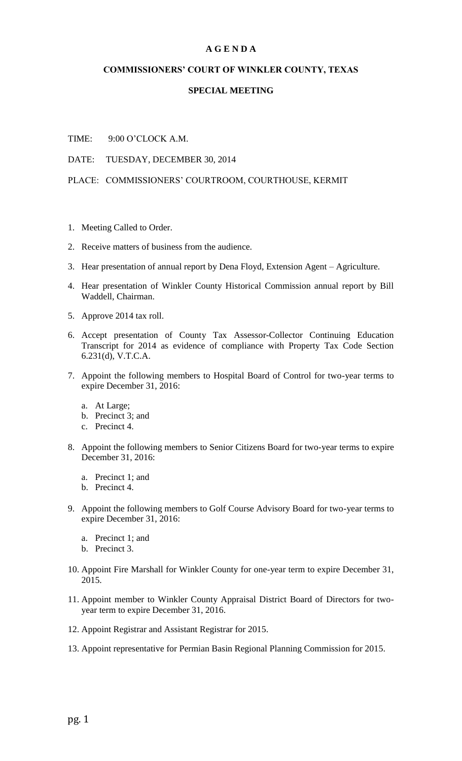## **A G E N D A**

## **COMMISSIONERS' COURT OF WINKLER COUNTY, TEXAS**

## **SPECIAL MEETING**

TIME: 9:00 O'CLOCK A.M.

DATE: TUESDAY, DECEMBER 30, 2014

PLACE: COMMISSIONERS' COURTROOM, COURTHOUSE, KERMIT

- 1. Meeting Called to Order.
- 2. Receive matters of business from the audience.
- 3. Hear presentation of annual report by Dena Floyd, Extension Agent Agriculture.
- 4. Hear presentation of Winkler County Historical Commission annual report by Bill Waddell, Chairman.
- 5. Approve 2014 tax roll.
- 6. Accept presentation of County Tax Assessor-Collector Continuing Education Transcript for 2014 as evidence of compliance with Property Tax Code Section 6.231(d), V.T.C.A.
- 7. Appoint the following members to Hospital Board of Control for two-year terms to expire December 31, 2016:
	- a. At Large;
	- b. Precinct 3; and
	- c. Precinct 4.
- 8. Appoint the following members to Senior Citizens Board for two-year terms to expire December 31, 2016:
	- a. Precinct 1; and
	- b. Precinct 4.
- 9. Appoint the following members to Golf Course Advisory Board for two-year terms to expire December 31, 2016:
	- a. Precinct 1; and
	- b. Precinct 3.
- 10. Appoint Fire Marshall for Winkler County for one-year term to expire December 31, 2015.
- 11. Appoint member to Winkler County Appraisal District Board of Directors for twoyear term to expire December 31, 2016.
- 12. Appoint Registrar and Assistant Registrar for 2015.
- 13. Appoint representative for Permian Basin Regional Planning Commission for 2015.